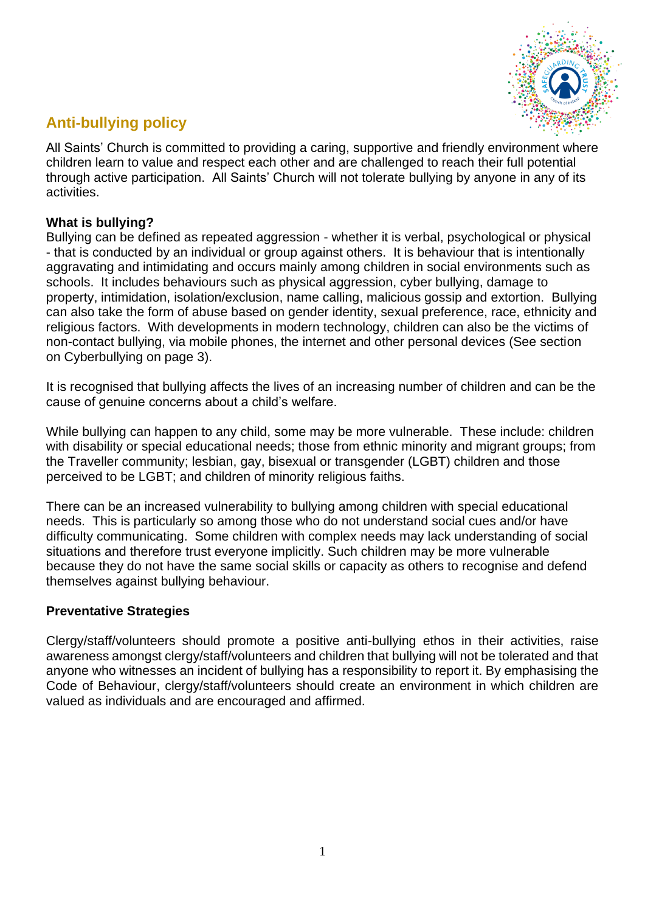

# **Anti-bullying policy**

All Saints' Church is committed to providing a caring, supportive and friendly environment where children learn to value and respect each other and are challenged to reach their full potential through active participation. All Saints' Church will not tolerate bullying by anyone in any of its activities.

#### **What is bullying?**

Bullying can be defined as repeated aggression - whether it is verbal, psychological or physical - that is conducted by an individual or group against others. It is behaviour that is intentionally aggravating and intimidating and occurs mainly among children in social environments such as schools. It includes behaviours such as physical aggression, cyber bullying, damage to property, intimidation, isolation/exclusion, name calling, malicious gossip and extortion. Bullying can also take the form of abuse based on gender identity, sexual preference, race, ethnicity and religious factors. With developments in modern technology, children can also be the victims of non-contact bullying, via mobile phones, the internet and other personal devices (See section on Cyberbullying on page 3).

It is recognised that bullying affects the lives of an increasing number of children and can be the cause of genuine concerns about a child's welfare.

While bullying can happen to any child, some may be more vulnerable. These include: children with disability or special educational needs; those from ethnic minority and migrant groups; from the Traveller community; lesbian, gay, bisexual or transgender (LGBT) children and those perceived to be LGBT; and children of minority religious faiths.

There can be an increased vulnerability to bullying among children with special educational needs. This is particularly so among those who do not understand social cues and/or have difficulty communicating. Some children with complex needs may lack understanding of social situations and therefore trust everyone implicitly. Such children may be more vulnerable because they do not have the same social skills or capacity as others to recognise and defend themselves against bullying behaviour.

#### **Preventative Strategies**

Clergy/staff/volunteers should promote a positive anti-bullying ethos in their activities, raise awareness amongst clergy/staff/volunteers and children that bullying will not be tolerated and that anyone who witnesses an incident of bullying has a responsibility to report it. By emphasising the Code of Behaviour, clergy/staff/volunteers should create an environment in which children are valued as individuals and are encouraged and affirmed.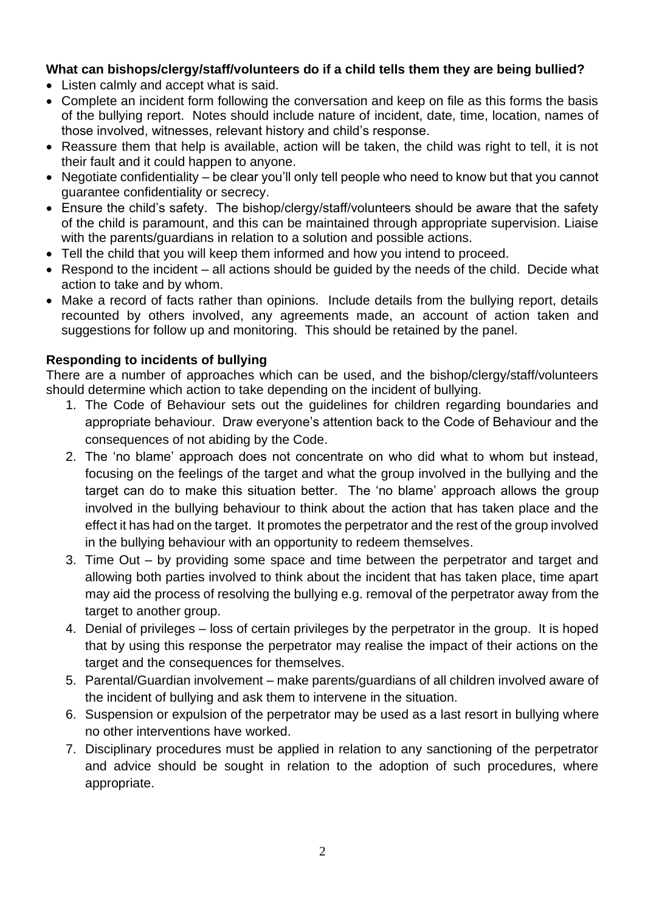## **What can bishops/clergy/staff/volunteers do if a child tells them they are being bullied?**

- Listen calmly and accept what is said.
- Complete an incident form following the conversation and keep on file as this forms the basis of the bullying report. Notes should include nature of incident, date, time, location, names of those involved, witnesses, relevant history and child's response.
- Reassure them that help is available, action will be taken, the child was right to tell, it is not their fault and it could happen to anyone.
- Negotiate confidentiality be clear you'll only tell people who need to know but that you cannot guarantee confidentiality or secrecy.
- Ensure the child's safety. The bishop/clergy/staff/volunteers should be aware that the safety of the child is paramount, and this can be maintained through appropriate supervision. Liaise with the parents/guardians in relation to a solution and possible actions.
- Tell the child that you will keep them informed and how you intend to proceed.
- Respond to the incident all actions should be guided by the needs of the child. Decide what action to take and by whom.
- Make a record of facts rather than opinions. Include details from the bullying report, details recounted by others involved, any agreements made, an account of action taken and suggestions for follow up and monitoring. This should be retained by the panel.

#### **Responding to incidents of bullying**

There are a number of approaches which can be used, and the bishop/clergy/staff/volunteers should determine which action to take depending on the incident of bullying.

- 1. The Code of Behaviour sets out the guidelines for children regarding boundaries and appropriate behaviour. Draw everyone's attention back to the Code of Behaviour and the consequences of not abiding by the Code.
- 2. The 'no blame' approach does not concentrate on who did what to whom but instead, focusing on the feelings of the target and what the group involved in the bullying and the target can do to make this situation better. The 'no blame' approach allows the group involved in the bullying behaviour to think about the action that has taken place and the effect it has had on the target. It promotes the perpetrator and the rest of the group involved in the bullying behaviour with an opportunity to redeem themselves.
- 3. Time Out by providing some space and time between the perpetrator and target and allowing both parties involved to think about the incident that has taken place, time apart may aid the process of resolving the bullying e.g. removal of the perpetrator away from the target to another group.
- 4. Denial of privileges loss of certain privileges by the perpetrator in the group. It is hoped that by using this response the perpetrator may realise the impact of their actions on the target and the consequences for themselves.
- 5. Parental/Guardian involvement make parents/guardians of all children involved aware of the incident of bullying and ask them to intervene in the situation.
- 6. Suspension or expulsion of the perpetrator may be used as a last resort in bullying where no other interventions have worked.
- 7. Disciplinary procedures must be applied in relation to any sanctioning of the perpetrator and advice should be sought in relation to the adoption of such procedures, where appropriate.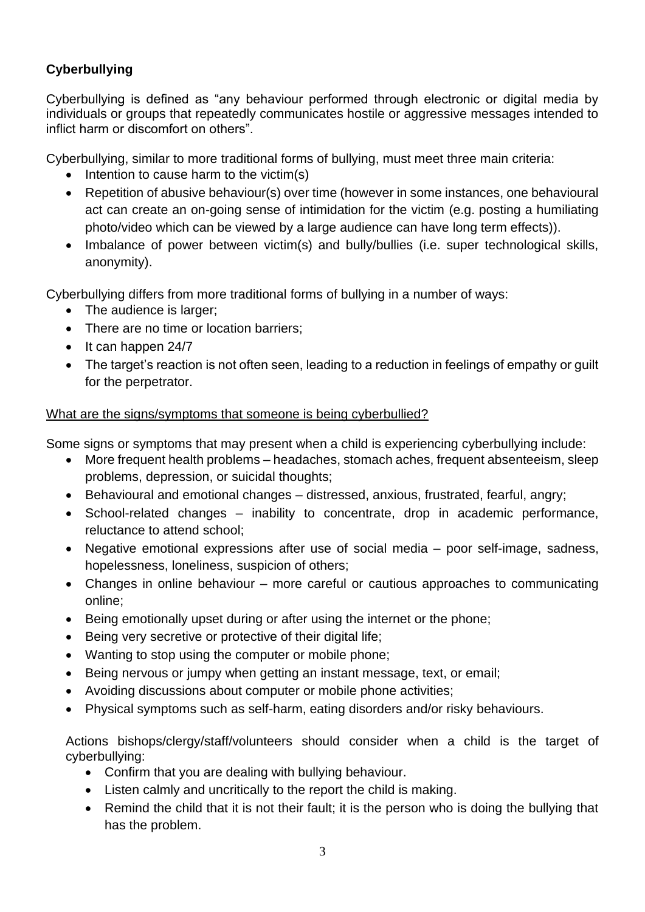## **Cyberbullying**

Cyberbullying is defined as "any behaviour performed through electronic or digital media by individuals or groups that repeatedly communicates hostile or aggressive messages intended to inflict harm or discomfort on others".

Cyberbullying, similar to more traditional forms of bullying, must meet three main criteria:

- Intention to cause harm to the victim(s)
- Repetition of abusive behaviour(s) over time (however in some instances, one behavioural act can create an on-going sense of intimidation for the victim (e.g. posting a humiliating photo/video which can be viewed by a large audience can have long term effects)).
- Imbalance of power between victim(s) and bully/bullies (i.e. super technological skills, anonymity).

Cyberbullying differs from more traditional forms of bullying in a number of ways:

- The audience is larger;
- There are no time or location barriers:
- It can happen 24/7
- The target's reaction is not often seen, leading to a reduction in feelings of empathy or quilt for the perpetrator.

### What are the signs/symptoms that someone is being cyberbullied?

Some signs or symptoms that may present when a child is experiencing cyberbullying include:

- More frequent health problems headaches, stomach aches, frequent absenteeism, sleep problems, depression, or suicidal thoughts;
- Behavioural and emotional changes distressed, anxious, frustrated, fearful, angry;
- School-related changes inability to concentrate, drop in academic performance, reluctance to attend school;
- Negative emotional expressions after use of social media poor self-image, sadness, hopelessness, loneliness, suspicion of others;
- Changes in online behaviour more careful or cautious approaches to communicating online;
- Being emotionally upset during or after using the internet or the phone;
- Being very secretive or protective of their digital life;
- Wanting to stop using the computer or mobile phone;
- Being nervous or jumpy when getting an instant message, text, or email;
- Avoiding discussions about computer or mobile phone activities;
- Physical symptoms such as self-harm, eating disorders and/or risky behaviours.

Actions bishops/clergy/staff/volunteers should consider when a child is the target of cyberbullying:

- Confirm that you are dealing with bullying behaviour.
- Listen calmly and uncritically to the report the child is making.
- Remind the child that it is not their fault; it is the person who is doing the bullying that has the problem.